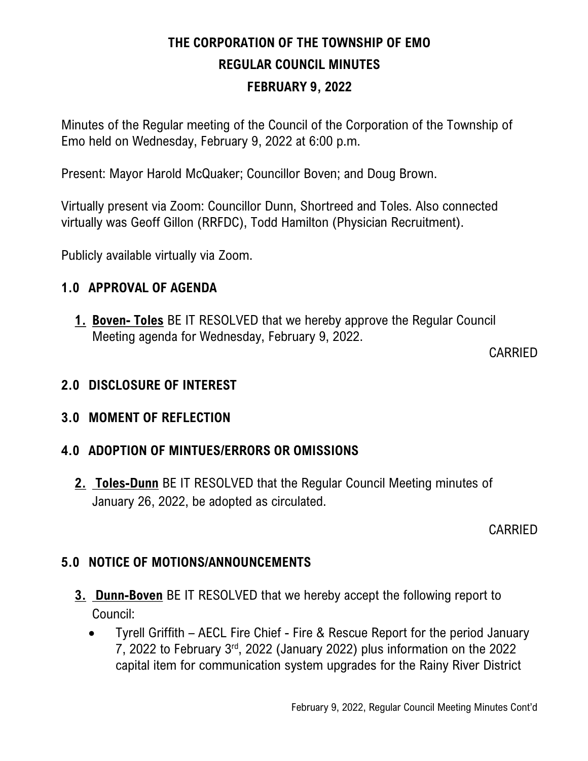# THE CORPORATION OF THE TOWNSHIP OF EMO REGULAR COUNCIL MINUTES FEBRUARY 9, 2022

Minutes of the Regular meeting of the Council of the Corporation of the Township of Emo held on Wednesday, February 9, 2022 at 6:00 p.m.

Present: Mayor Harold McQuaker; Councillor Boven; and Doug Brown.

Virtually present via Zoom: Councillor Dunn, Shortreed and Toles. Also connected virtually was Geoff Gillon (RRFDC), Todd Hamilton (Physician Recruitment).

Publicly available virtually via Zoom.

#### 1.0 APPROVAL OF AGENDA

1. Boven- Toles BE IT RESOLVED that we hereby approve the Regular Council Meeting agenda for Wednesday, February 9, 2022.

CARRIED

# 2.0 DISCLOSURE OF INTEREST

#### 3.0 MOMENT OF REFLECTION

# 4.0 ADOPTION OF MINTUES/ERRORS OR OMISSIONS

2. Toles-Dunn BE IT RESOLVED that the Regular Council Meeting minutes of January 26, 2022, be adopted as circulated.

CARRIED

# 5.0 NOTICE OF MOTIONS/ANNOUNCEMENTS

- 3. Dunn-Boven BE IT RESOLVED that we hereby accept the following report to Council:
	- Tyrell Griffith AECL Fire Chief Fire & Rescue Report for the period January 7, 2022 to February 3rd, 2022 (January 2022) plus information on the 2022 capital item for communication system upgrades for the Rainy River District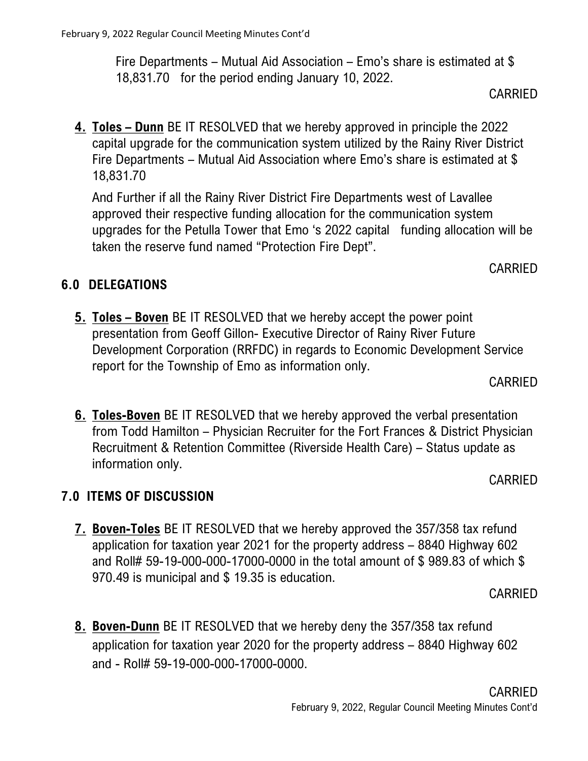# approved their respective funding allocation for the communication system

upgrades for the Petulla Tower that Emo 's 2022 capital funding allocation will be taken the reserve fund named "Protection Fire Dept".

## 6.0 DELEGATIONS

18,831.70

5. Toles – Boven BE IT RESOLVED that we hereby accept the power point presentation from Geoff Gillon- Executive Director of Rainy River Future Development Corporation (RRFDC) in regards to Economic Development Service report for the Township of Emo as information only.

6. Toles-Boven BE IT RESOLVED that we hereby approved the verbal presentation from Todd Hamilton – Physician Recruiter for the Fort Frances & District Physician Recruitment & Retention Committee (Riverside Health Care) – Status update as information only.

#### 7.0 ITEMS OF DISCUSSION

7. Boven-Toles BE IT RESOLVED that we hereby approved the 357/358 tax refund application for taxation year 2021 for the property address – 8840 Highway 602 and Roll# 59-19-000-000-17000-0000 in the total amount of \$ 989.83 of which \$ 970.49 is municipal and \$ 19.35 is education.

8. Boven-Dunn BE IT RESOLVED that we hereby deny the 357/358 tax refund application for taxation year 2020 for the property address – 8840 Highway 602 and - Roll# 59-19-000-000-17000-0000.

# February 9, 2022 Regular Council Meeting Minutes Cont'd

Fire Departments – Mutual Aid Association – Emo's share is estimated at \$ 18,831.70 for the period ending January 10, 2022.

4. Toles – Dunn BE IT RESOLVED that we hereby approved in principle the 2022

And Further if all the Rainy River District Fire Departments west of Lavallee

capital upgrade for the communication system utilized by the Rainy River District Fire Departments – Mutual Aid Association where Emo's share is estimated at \$

CARRIED

# CARRIED

CARRIED

#### CARRIED

CARRIED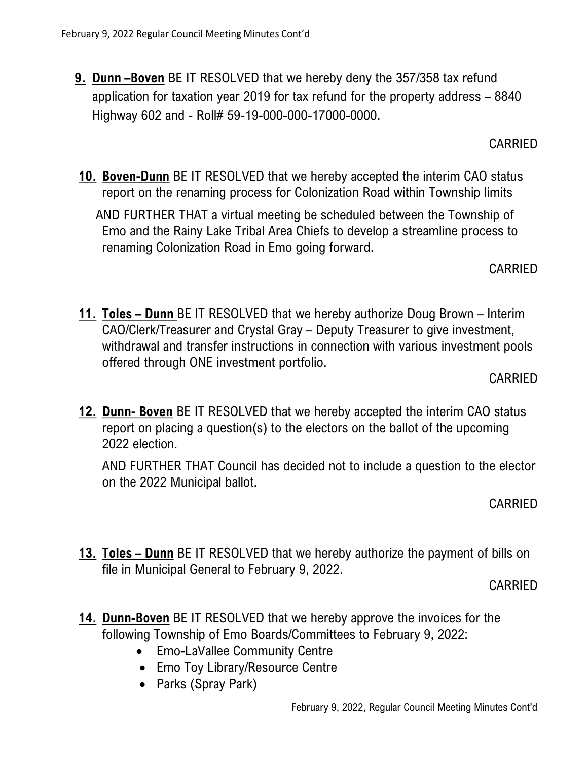9. Dunn -Boven BE IT RESOLVED that we hereby deny the 357/358 tax refund application for taxation year 2019 for tax refund for the property address – 8840 Highway 602 and - Roll# 59-19-000-000-17000-0000.

CARRIED

10. Boven-Dunn BE IT RESOLVED that we hereby accepted the interim CAO status report on the renaming process for Colonization Road within Township limits

AND FURTHER THAT a virtual meeting be scheduled between the Township of Emo and the Rainy Lake Tribal Area Chiefs to develop a streamline process to renaming Colonization Road in Emo going forward.

CARRIED

11. Toles – Dunn BE IT RESOLVED that we hereby authorize Doug Brown – Interim CAO/Clerk/Treasurer and Crystal Gray – Deputy Treasurer to give investment, withdrawal and transfer instructions in connection with various investment pools offered through ONE investment portfolio.

CARRIED

12. Dunn- Boven BE IT RESOLVED that we hereby accepted the interim CAO status report on placing a question(s) to the electors on the ballot of the upcoming 2022 election.

AND FURTHER THAT Council has decided not to include a question to the elector on the 2022 Municipal ballot.

CARRIED

13. Toles – Dunn BE IT RESOLVED that we hereby authorize the payment of bills on file in Municipal General to February 9, 2022.

CARRIED

- 14. Dunn-Boven BE IT RESOLVED that we hereby approve the invoices for the following Township of Emo Boards/Committees to February 9, 2022:
	- Emo-LaVallee Community Centre
	- Emo Toy Library/Resource Centre
	- Parks (Spray Park)

February 9, 2022, Regular Council Meeting Minutes Cont'd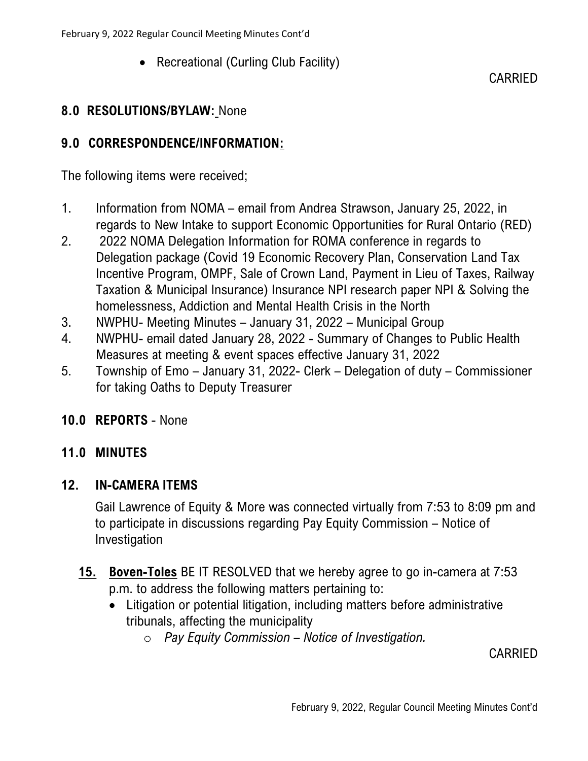• Recreational (Curling Club Facility)

# CARRIED

### 8.0 RESOLUTIONS/BYLAW: None

### 9.0 CORRESPONDENCE/INFORMATION:

The following items were received;

- 1. Information from NOMA email from Andrea Strawson, January 25, 2022, in regards to New Intake to support Economic Opportunities for Rural Ontario (RED)
- 2. 2022 NOMA Delegation Information for ROMA conference in regards to Delegation package (Covid 19 Economic Recovery Plan, Conservation Land Tax Incentive Program, OMPF, Sale of Crown Land, Payment in Lieu of Taxes, Railway Taxation & Municipal Insurance) Insurance NPI research paper NPI & Solving the homelessness, Addiction and Mental Health Crisis in the North
- 3. NWPHU- Meeting Minutes January 31, 2022 Municipal Group
- 4. NWPHU- email dated January 28, 2022 Summary of Changes to Public Health Measures at meeting & event spaces effective January 31, 2022
- 5. Township of Emo January 31, 2022- Clerk Delegation of duty Commissioner for taking Oaths to Deputy Treasurer

#### 10.0 REPORTS - None

# 11.0 MINUTES

#### 12. IN-CAMERA ITEMS

Gail Lawrence of Equity & More was connected virtually from 7:53 to 8:09 pm and to participate in discussions regarding Pay Equity Commission – Notice of Investigation

- 15. Boven-Toles BE IT RESOLVED that we hereby agree to go in-camera at 7:53 p.m. to address the following matters pertaining to:
	- Litigation or potential litigation, including matters before administrative tribunals, affecting the municipality
		- $\circ$  Pay Equity Commission Notice of Investigation.

CARRIED